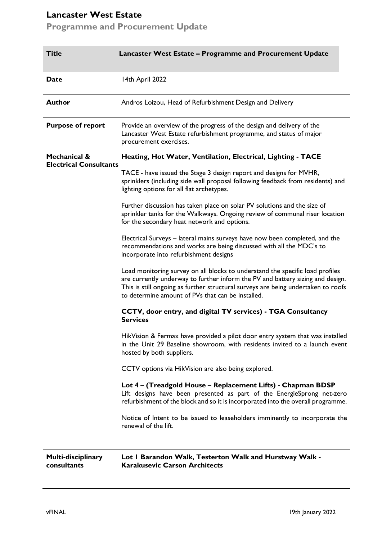# **Lancaster West Estate**

**Programme and Procurement Update**

| <b>Title</b>                                             | Lancaster West Estate - Programme and Procurement Update                                                                                                                                                                                                                                                  |
|----------------------------------------------------------|-----------------------------------------------------------------------------------------------------------------------------------------------------------------------------------------------------------------------------------------------------------------------------------------------------------|
| <b>Date</b>                                              | 14th April 2022                                                                                                                                                                                                                                                                                           |
| Author                                                   | Andros Loizou, Head of Refurbishment Design and Delivery                                                                                                                                                                                                                                                  |
| <b>Purpose of report</b>                                 | Provide an overview of the progress of the design and delivery of the<br>Lancaster West Estate refurbishment programme, and status of major<br>procurement exercises.                                                                                                                                     |
| <b>Mechanical &amp;</b><br><b>Electrical Consultants</b> | Heating, Hot Water, Ventilation, Electrical, Lighting - TACE                                                                                                                                                                                                                                              |
|                                                          | TACE - have issued the Stage 3 design report and designs for MVHR,<br>sprinklers (including side wall proposal following feedback from residents) and<br>lighting options for all flat archetypes.                                                                                                        |
|                                                          | Further discussion has taken place on solar PV solutions and the size of<br>sprinkler tanks for the Walkways. Ongoing review of communal riser location<br>for the secondary heat network and options.                                                                                                    |
|                                                          | Electrical Surveys - lateral mains surveys have now been completed, and the<br>recommendations and works are being discussed with all the MDC's to<br>incorporate into refurbishment designs                                                                                                              |
|                                                          | Load monitoring survey on all blocks to understand the specific load profiles<br>are currently underway to further inform the PV and battery sizing and design.<br>This is still ongoing as further structural surveys are being undertaken to roofs<br>to determine amount of PVs that can be installed. |
|                                                          | CCTV, door entry, and digital TV services) - TGA Consultancy<br><b>Services</b>                                                                                                                                                                                                                           |
|                                                          | HikVision & Fermax have provided a pilot door entry system that was installed<br>in the Unit 29 Baseline showroom, with residents invited to a launch event<br>hosted by both suppliers.                                                                                                                  |
|                                                          | CCTV options via HikVision are also being explored.                                                                                                                                                                                                                                                       |
|                                                          | Lot 4 - (Treadgold House - Replacement Lifts) - Chapman BDSP<br>Lift designs have been presented as part of the EnergieSprong net-zero<br>refurbishment of the block and so it is incorporated into the overall programme.                                                                                |
|                                                          | Notice of Intent to be issued to leaseholders imminently to incorporate the<br>renewal of the lift.                                                                                                                                                                                                       |
| Multi-disciplinary<br>consultants                        | Lot I Barandon Walk, Testerton Walk and Hurstway Walk -<br><b>Karakusevic Carson Architects</b>                                                                                                                                                                                                           |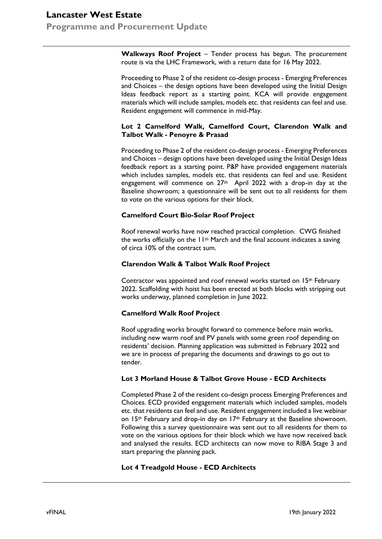# **Lancaster West Estate Programme and Procurement Update**

**Walkways Roof Project** – Tender process has begun. The procurement route is via the LHC Framework, with a return date for 16 May 2022.

Proceeding to Phase 2 of the resident co-design process - Emerging Preferences and Choices – the design options have been developed using the Initial Design Ideas feedback report as a starting point. KCA will provide engagement materials which will include samples, models etc. that residents can feel and use. Resident engagement will commence in mid-May.

### **Lot 2 Camelford Walk, Camelford Court, Clarendon Walk and Talbot Walk - Penoyre & Prasad**

Proceeding to Phase 2 of the resident co-design process - Emerging Preferences and Choices – design options have been developed using the Initial Design Ideas feedback report as a starting point. P&P have provided engagement materials which includes samples, models etc. that residents can feel and use. Resident engagement will commence on 27<sup>th</sup> April 2022 with a drop-in day at the Baseline showroom; a questionnaire will be sent out to all residents for them to vote on the various options for their block.

# **Camelford Court Bio-Solar Roof Project**

Roof renewal works have now reached practical completion. CWG finished the works officially on the 11th March and the final account indicates a saving of circa 10% of the contract sum.

# **Clarendon Walk & Talbot Walk Roof Project**

Contractor was appointed and roof renewal works started on 15th February 2022. Scaffolding with hoist has been erected at both blocks with stripping out works underway, planned completion in June 2022.

# **Camelford Walk Roof Project**

Roof upgrading works brought forward to commence before main works, including new warm roof and PV panels with some green roof depending on residents' decision. Planning application was submitted in February 2022 and we are in process of preparing the documents and drawings to go out to tender.

# **Lot 3 Morland House & Talbot Grove House - ECD Architects**

Completed Phase 2 of the resident co-design process Emerging Preferences and Choices. ECD provided engagement materials which included samples, models etc. that residents can feel and use. Resident engagement included a live webinar on 15<sup>th</sup> February and drop-in day on 17<sup>th</sup> February at the Baseline showroom. Following this a survey questionnaire was sent out to all residents for them to vote on the various options for their block which we have now received back and analysed the results. ECD architects can now move to RIBA Stage 3 and start preparing the planning pack.

# **Lot 4 Treadgold House - ECD Architects**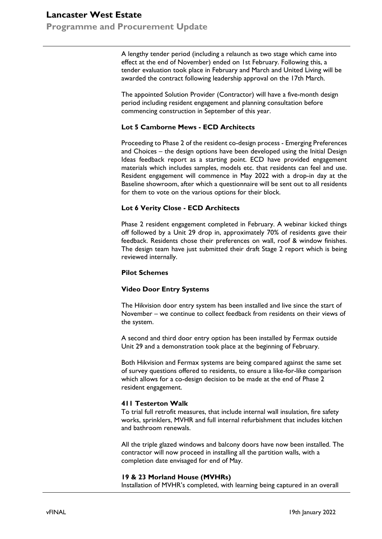# **Lancaster West Estate Programme and Procurement Update**

A lengthy tender period (including a relaunch as two stage which came into effect at the end of November) ended on 1st February. Following this, a tender evaluation took place in February and March and United Living will be awarded the contract following leadership approval on the 17th March.

The appointed Solution Provider (Contractor) will have a five-month design period including resident engagement and planning consultation before commencing construction in September of this year.

# **Lot 5 Camborne Mews - ECD Architects**

Proceeding to Phase 2 of the resident co-design process - Emerging Preferences and Choices – the design options have been developed using the Initial Design Ideas feedback report as a starting point. ECD have provided engagement materials which includes samples, models etc. that residents can feel and use. Resident engagement will commence in May 2022 with a drop-in day at the Baseline showroom, after which a questionnaire will be sent out to all residents for them to vote on the various options for their block.

### **Lot 6 Verity Close - ECD Architects**

Phase 2 resident engagement completed in February. A webinar kicked things off followed by a Unit 29 drop in, approximately 70% of residents gave their feedback. Residents chose their preferences on wall, roof & window finishes. The design team have just submitted their draft Stage 2 report which is being reviewed internally.

#### **Pilot Schemes**

# **Video Door Entry Systems**

The Hikvision door entry system has been installed and live since the start of November – we continue to collect feedback from residents on their views of the system.

A second and third door entry option has been installed by Fermax outside Unit 29 and a demonstration took place at the beginning of February.

Both Hikvision and Fermax systems are being compared against the same set of survey questions offered to residents, to ensure a like-for-like comparison which allows for a co-design decision to be made at the end of Phase 2 resident engagement.

#### **411 Testerton Walk**

To trial full retrofit measures, that include internal wall insulation, fire safety works, sprinklers, MVHR and full internal refurbishment that includes kitchen and bathroom renewals.

All the triple glazed windows and balcony doors have now been installed. The contractor will now proceed in installing all the partition walls, with a completion date envisaged for end of May.

#### **19 & 23 Morland House (MVHRs)**

Installation of MVHR's completed, with learning being captured in an overall